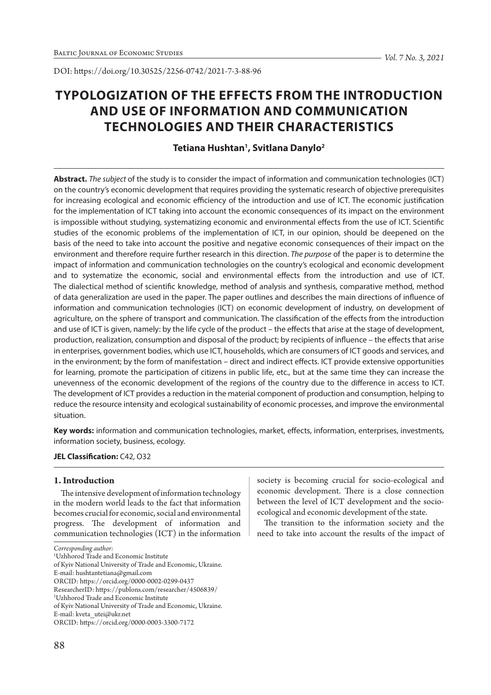DOI: https://doi.org/10.30525/2256-0742/2021-7-3-88-96

# **TYPOLOGIZATION OF THE EFFECTS FROM THE INTRODUCTION AND USE OF INFORMATION AND COMMUNICATION TECHNOLOGIES AND THEIR CHARACTERISTICS**

# **Tetiana Hushtan1 , Svitlana Danylo2**

**Abstract.** *The subject* of the study is to consider the impact of information and communication technologies (ICT) on the country's economic development that requires providing the systematic research of objective prerequisites for increasing ecological and economic efficiency of the introduction and use of ICT. The economic justification for the implementation of ICT taking into account the economic consequences of its impact on the environment is impossible without studying, systematizing economic and environmental effects from the use of ICT. Scientific studies of the economic problems of the implementation of ICT, in our opinion, should be deepened on the basis of the need to take into account the positive and negative economic consequences of their impact on the environment and therefore require further research in this direction. *The purpose* of the paper is to determine the impact of information and communication technologies on the country's ecological and economic development and to systematize the economic, social and environmental effects from the introduction and use of ICT. The dialectical method of scientific knowledge, method of analysis and synthesis, comparative method, method of data generalization are used in the paper. The paper outlines and describes the main directions of influence of information and communication technologies (ICT) on economic development of industry, on development of agriculture, on the sphere of transport and communication. The classification of the effects from the introduction and use of ICT is given, namely: by the life cycle of the product – the effects that arise at the stage of development, production, realization, consumption and disposal of the product; by recipients of influence – the effects that arise in enterprises, government bodies, which use ICT, households, which are consumers of ICT goods and services, and in the environment; by the form of manifestation – direct and indirect effects. ICT provide extensive opportunities for learning, promote the participation of citizens in public life, etc., but at the same time they can increase the unevenness of the economic development of the regions of the country due to the difference in access to ICT. The development of ICT provides a reduction in the material component of production and consumption, helping to reduce the resource intensity and ecological sustainability of economic processes, and improve the environmental situation.

**Key words:** information and communication technologies, market, effects, information, enterprises, investments, information society, business, ecology.

### **JEL Classification:** C42, O32

# **1. Introduction**

The intensive development of information technology in the modern world leads to the fact that information becomes crucial for economic, social and environmental progress. The development of information and communication technologies (ICT) in the information society is becoming crucial for socio-ecological and economic development. There is a close connection between the level of ICT development and the socioecological and economic development of the state.

The transition to the information society and the need to take into account the results of the impact of

*Corresponding author:*

<sup>1</sup> Uzhhorod Trade and Economic Institute

of Kyiv National University of Trade and Economic, Ukraine.

E-mail: hushtantetiana@gmail.com

ORCID: https://orcid.org/0000-0002-0299-0437

ResearcherID: https://publons.com/researcher/4506839/

<sup>2</sup> Uzhhorod Trade and Economic Institute

of Kyiv National University of Trade and Economic, Ukraine.

E-mail: kveta\_utei@ukr.net

ORCID: https://orcid.org/0000-0003-3300-7172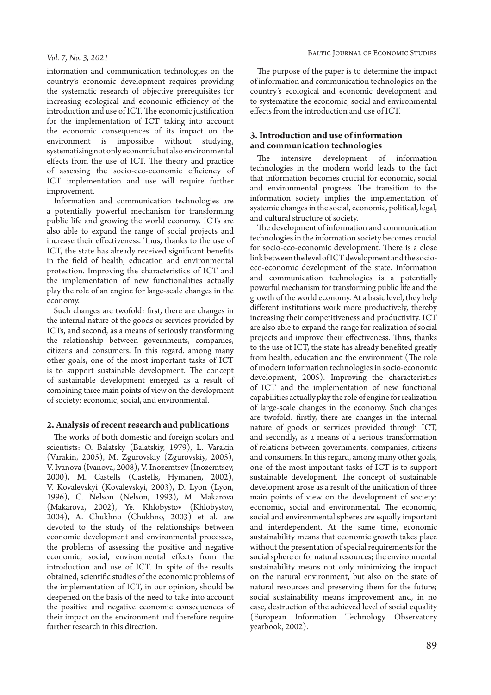information and communication technologies on the country's economic development requires providing the systematic research of objective prerequisites for increasing ecological and economic efficiency of the introduction and use of ICT. The economic justification for the implementation of ICT taking into account the economic consequences of its impact on the environment is impossible without studying, systematizing not only economic but also environmental effects from the use of ICT. The theory and practice of assessing the socio-eco-economic efficiency of ICT implementation and use will require further improvement.

Information and communication technologies are a potentially powerful mechanism for transforming public life and growing the world economy. ICTs are also able to expand the range of social projects and increase their effectiveness. Thus, thanks to the use of ICT, the state has already received significant benefits in the field of health, education and environmental protection. Improving the characteristics of ICT and the implementation of new functionalities actually play the role of an engine for large-scale changes in the economy.

Such changes are twofold: first, there are changes in the internal nature of the goods or services provided by ICTs, and second, as a means of seriously transforming the relationship between governments, companies, citizens and consumers. In this regard. among many other goals, one of the most important tasks of ICT is to support sustainable development. The concept of sustainable development emerged as a result of combining three main points of view on the development of society: economic, social, and environmental.

#### **2. Analysis of recent research and publications**

The works of both domestic and foreign scolars and scientists: O. Balatsky (Balatskiy, 1979), L. Varakin (Varakin, 2005), M. Zgurovskiy (Zgurovskiy, 2005), V. Ivanova (Ivanova, 2008), V. Inozemtsev (Inozemtsev, 2000), M. Castells (Castells, Hymanen, 2002), V. Kovalevskyi (Kovalevskyi, 2003), D. Lyon (Lyon, 1996), C. Nelson (Nelson, 1993), M. Makarova (Makarova, 2002), Ye. Khlobystov (Khlobystov, 2004), A. Chukhno (Chukhno, 2003) et al. are devoted to the study of the relationships between economic development and environmental processes, the problems of assessing the positive and negative economic, social, environmental effects from the introduction and use of ICT. In spite of the results obtained, scientific studies of the economic problems of the implementation of ICT, in our opinion, should be deepened on the basis of the need to take into account the positive and negative economic consequences of their impact on the environment and therefore require further research in this direction.

The purpose of the paper is to determine the impact of information and communication technologies on the country's ecological and economic development and to systematize the economic, social and environmental effects from the introduction and use of ICT.

### **3. Introduction and use of information and communication technologies**

The intensive development of information technologies in the modern world leads to the fact that information becomes crucial for economic, social and environmental progress. The transition to the information society implies the implementation of systemic changes in the social, economic, political, legal, and cultural structure of society.

The development of information and communication technologies in the information society becomes crucial for socio-eco-economic development. There is a close link between the level of ICT development and the socioeco-economic development of the state. Information and communication technologies is a potentially powerful mechanism for transforming public life and the growth of the world economy. At a basic level, they help different institutions work more productively, thereby increasing their competitiveness and productivity. ICT are also able to expand the range for realization of social projects and improve their effectiveness. Thus, thanks to the use of ICT, the state has already benefited greatly from health, education and the environment (The role of modern information technologies in socio-economic development, 2005). Improving the characteristics of ICT and the implementation of new functional capabilities actually play the role of engine for realization of large-scale changes in the economy. Such changes are twofold: firstly, there are changes in the internal nature of goods or services provided through ICT, and secondly, as a means of a serious transformation of relations between governments, companies, citizens and consumers. In this regard, among many other goals, one of the most important tasks of ICT is to support sustainable development. The concept of sustainable development arose as a result of the unification of three main points of view on the development of society: economic, social and environmental. The economic, social and environmental spheres are equally important and interdependent. At the same time, economic sustainability means that economic growth takes place without the presentation of special requirements for the social sphere or for natural resources; the environmental sustainability means not only minimizing the impact on the natural environment, but also on the state of natural resources and preserving them for the future; social sustainability means improvement and, in no case, destruction of the achieved level of social equality (European Information Technology Observatory yearbook, 2002).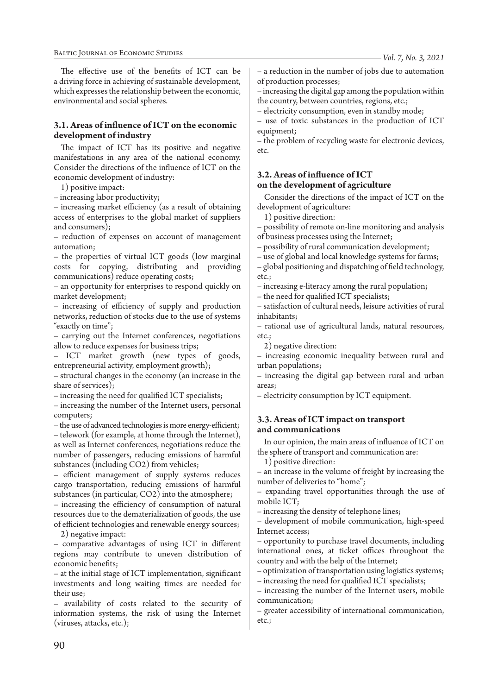The effective use of the benefits of ICT can be a driving force in achieving of sustainable development, which expresses the relationship between the economic, environmental and social spheres.

## **3.1. Areas of influence of ICT on the economic development of industry**

The impact of ICT has its positive and negative manifestations in any area of the national economy. Consider the directions of the influence of ICT on the economic development of industry:

1) positive impact:

– increasing labor productivity;

– increasing market efficiency (as a result of obtaining access of enterprises to the global market of suppliers and consumers);

– reduction of expenses on account of management automation;

– the properties of virtual ICT goods (low marginal costs for copying, distributing and providing communications) reduce operating costs;

– an opportunity for enterprises to respond quickly on market development;

– increasing of efficiency of supply and production networks, reduction of stocks due to the use of systems "exactly on time";

– carrying out the Internet conferences, negotiations allow to reduce expenses for business trips;

– ICT market growth (new types of goods, entrepreneurial activity, employment growth);

– structural changes in the economy (an increase in the share of services);

– increasing the need for qualified ICT specialists;

– increasing the number of the Internet users, personal computers;

– the use of advanced technologies is more energy-efficient;

– telework (for example, at home through the Internet), as well as Internet conferences, negotiations reduce the number of passengers, reducing emissions of harmful substances (including CO2) from vehicles;

– efficient management of supply systems reduces cargo transportation, reducing emissions of harmful substances (in particular, CO2) into the atmosphere;

– increasing the efficiency of consumption of natural resources due to the dematerialization of goods, the use of efficient technologies and renewable energy sources;

2) negative impact:

– comparative advantages of using ICT in different regions may contribute to uneven distribution of economic benefits;

– at the initial stage of ICT implementation, significant investments and long waiting times are needed for their use;

– availability of costs related to the security of information systems, the risk of using the Internet (viruses, attacks, etc.);

– a reduction in the number of jobs due to automation of production processes;

– increasing the digital gap among the population within the country, between countries, regions, etc.;

– electricity consumption, even in standby mode;

– use of toxic substances in the production of ICT equipment;

– the problem of recycling waste for electronic devices, etc.

# **3.2. Areas of influence of ICT on the development of agriculture**

Consider the directions of the impact of ICT on the development of agriculture:

1) positive direction:

– possibility of remote on-line monitoring and analysis of business processes using the Internet;

– possibility of rural communication development;

– use of global and local knowledge systems for farms;

– global positioning and dispatching of field technology, etc.;

– increasing e-literacy among the rural population;

– the need for qualified ICT specialists;

– satisfaction of cultural needs, leisure activities of rural inhabitants;

– rational use of agricultural lands, natural resources, etc.;

2) negative direction:

– increasing economic inequality between rural and urban populations;

– increasing the digital gap between rural and urban areas;

– electricity consumption by ICT equipment.

# **3.3. Areas of ICT impact on transport and communications**

In our opinion, the main areas of influence of ICT on the sphere of transport and communication are:

1) positive direction:

– an increase in the volume of freight by increasing the number of deliveries to "home";

– expanding travel opportunities through the use of mobile ICT;

– increasing the density of telephone lines;

– development of mobile communication, high-speed Internet access;

– opportunity to purchase travel documents, including international ones, at ticket offices throughout the country and with the help of the Internet;

– optimization of transportation using logistics systems;

– increasing the need for qualified ICT specialists;

– increasing the number of the Internet users, mobile communication;

– greater accessibility of international communication, etc.;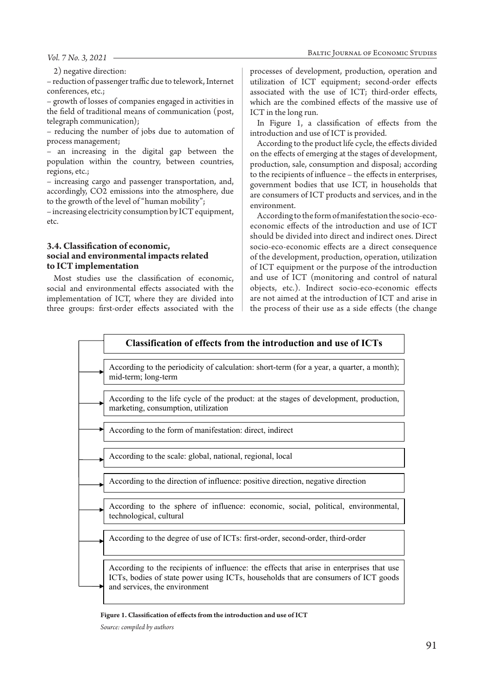#### *Vol. 7 No. 3, 2021*

2) negative direction:

– reduction of passenger traffic due to telework, Internet conferences, etc.;

– growth of losses of companies engaged in activities in the field of traditional means of communication (post, telegraph communication);

– reducing the number of jobs due to automation of process management;

– an increasing in the digital gap between the population within the country, between countries, regions, etc.;

– increasing cargo and passenger transportation, and, accordingly, CO2 emissions into the atmosphere, due to the growth of the level of "human mobility";

– increasing electricity consumption by ICT equipment, etc.

### **3.4. Classification of economic, social and environmental impacts related to ICT implementation**

Most studies use the classification of economic, social and environmental effects associated with the implementation of ICT, where they are divided into three groups: first-order effects associated with the processes of development, production, operation and utilization of ICT equipment; second-order effects associated with the use of ICT; third-order effects, which are the combined effects of the massive use of ICT in the long run.

In Figure 1, a classification of effects from the introduction and use of ICT is provided.

According to the product life cycle, the effects divided on the effects of emerging at the stages of development, production, sale, consumption and disposal; according to the recipients of influence – the effects in enterprises, government bodies that use ICT, in households that are consumers of ICT products and services, and in the environment.

According to the form of manifestation the socio-ecoeconomic effects of the introduction and use of ICT should be divided into direct and indirect ones. Direct socio-eco-economic effects are a direct consequence of the development, production, operation, utilization of ICT equipment or the purpose of the introduction and use of ICT (monitoring and control of natural objects, etc.). Indirect socio-eco-economic effects are not aimed at the introduction of ICT and arise in the process of their use as a side effects (the change



#### **Figure 1. Classification of effects from the introduction and use of ICT**

*Source: compiled by authors*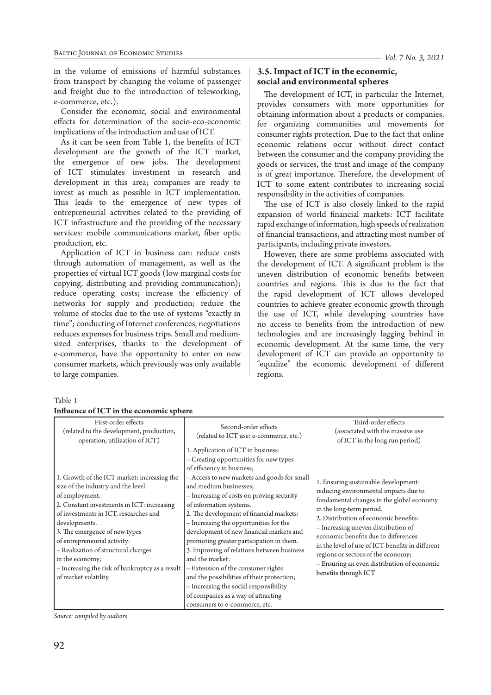in the volume of emissions of harmful substances from transport by changing the volume of passenger and freight due to the introduction of teleworking, e-commerce, etc.).

Consider the economic, social and environmental effects for determination of the socio-eco-economic implications of the introduction and use of ICT.

As it can be seen from Table 1, the benefits of ICT development are the growth of the ICT market, the emergence of new jobs. The development of ICT stimulates investment in research and development in this area; companies are ready to invest as much as possible in ICT implementation. This leads to the emergence of new types of entrepreneurial activities related to the providing of ICT infrastructure and the providing of the necessary services: mobile communications market, fiber optic production, etc.

Application of ICT in business can: reduce costs through automation of management, as well as the properties of virtual ICT goods (low marginal costs for copying, distributing and providing communication); reduce operating costs; increase the efficiency of networks for supply and production; reduce the volume of stocks due to the use of systems "exactly in time"; conducting of Internet conferences, negotiations reduces expenses for business trips. Small and mediumsized enterprises, thanks to the development of e-commerce, have the opportunity to enter on new consumer markets, which previously was only available to large companies.

# **3.5. Impact of ICT in the economic, social and environmental spheres**

The development of ICT, in particular the Internet, provides consumers with more opportunities for obtaining information about a products or companies, for organizing communities and movements for consumer rights protection. Due to the fact that online economic relations occur without direct contact between the consumer and the company providing the goods or services, the trust and image of the company is of great importance. Therefore, the development of ICT to some extent contributes to increasing social responsibility in the activities of companies.

The use of ICT is also closely linked to the rapid expansion of world financial markets: ICT facilitate rapid exchange of information, high speeds of realization of financial transactions, and attracting most number of participants, including private investors.

However, there are some problems associated with the development of ICT. A significant problem is the uneven distribution of economic benefits between countries and regions. This is due to the fact that the rapid development of ICT allows developed countries to achieve greater economic growth through the use of ICT, while developing countries have no access to benefits from the introduction of new technologies and are increasingly lagging behind in economic development. At the same time, the very development of ICT can provide an opportunity to "equalize" the economic development of different regions.

| First-order effects<br>(related to the development, production,<br>operation, utilization of ICT)                                                                                                                                                                                                                                                                                                                  | Second-order effects<br>(related to ICT use: e-commerce, etc.)                                                                                                                                                                                                                                                                                                                                                                                                                                                                                                                                                                                                                                                   | Third-order effects<br>(associated with the massive use<br>of ICT in the long run period)                                                                                                                                                                                                                                                                                                                                                       |
|--------------------------------------------------------------------------------------------------------------------------------------------------------------------------------------------------------------------------------------------------------------------------------------------------------------------------------------------------------------------------------------------------------------------|------------------------------------------------------------------------------------------------------------------------------------------------------------------------------------------------------------------------------------------------------------------------------------------------------------------------------------------------------------------------------------------------------------------------------------------------------------------------------------------------------------------------------------------------------------------------------------------------------------------------------------------------------------------------------------------------------------------|-------------------------------------------------------------------------------------------------------------------------------------------------------------------------------------------------------------------------------------------------------------------------------------------------------------------------------------------------------------------------------------------------------------------------------------------------|
| 1. Growth of the ICT market: increasing the<br>size of the industry and the level<br>of employment.<br>2. Constant investments in ICT: increasing<br>of investments in ICT, researches and<br>developments.<br>3. The emergence of new types<br>of entrepreneurial activity:<br>- Realization of structural changes<br>in the economy;<br>- Increasing the risk of bankruptcy as a result<br>of market volatility. | 1. Application of ICT in business:<br>- Creating opportunities for new types<br>of efficiency in business;<br>- Access to new markets and goods for small<br>and medium businesses;<br>- Increasing of costs on proving security<br>of information systems.<br>2. The development of financial markets:<br>- Increasing the opportunities for the<br>development of new financial markets and<br>promoting greater participation in them.<br>3. Improving of relations between business<br>and the market:<br>- Extension of the consumer rights<br>and the possibilities of their protection;<br>- Increasing the social responsibility<br>of companies as a way of attracting<br>consumers to e-commerce, etc. | 1. Ensuring sustainable development:<br>reducing environmental impacts due to<br>fundamental changes in the global economy<br>in the long-term period.<br>2. Distribution of economic benefits:<br>- Increasing uneven distribution of<br>economic benefits due to differences<br>in the level of use of ICT benefits in different<br>regions or sectors of the economy;<br>- Ensuring an even distribution of economic<br>benefits through ICT |

*Source: compiled by authors*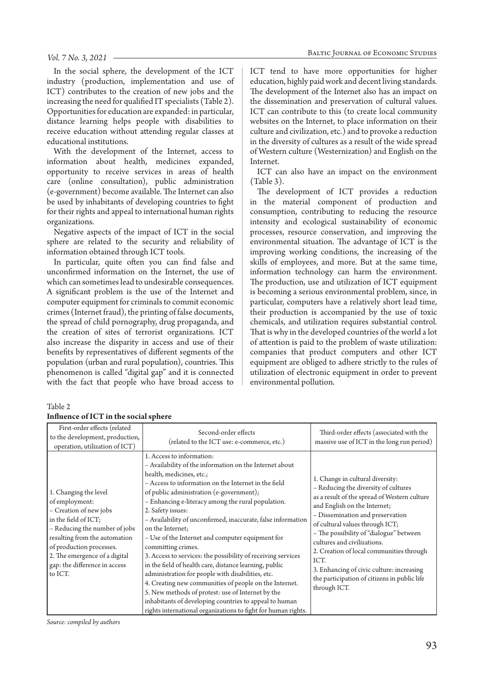#### *Vol. 7 No. 3, 2021*

In the social sphere, the development of the ICT industry (production, implementation and use of ICT) contributes to the creation of new jobs and the increasing the need for qualified IT specialists (Table 2). Opportunities for education are expanded: in particular, distance learning helps people with disabilities to receive education without attending regular classes at educational institutions.

With the development of the Internet, access to information about health, medicines expanded, opportunity to receive services in areas of health care (online consultation), public administration (e-government) become available. The Internet can also be used by inhabitants of developing countries to fight for their rights and appeal to international human rights organizations.

Negative aspects of the impact of ICT in the social sphere are related to the security and reliability of information obtained through ICT tools.

In particular, quite often you can find false and unconfirmed information on the Internet, the use of which can sometimes lead to undesirable consequences. A significant problem is the use of the Internet and computer equipment for criminals to commit economic crimes (Internet fraud), the printing of false documents, the spread of child pornography, drug propaganda, and the creation of sites of terrorist organizations. ICT also increase the disparity in access and use of their benefits by representatives of different segments of the population (urban and rural population), countries. This phenomenon is called "digital gap" and it is connected with the fact that people who have broad access to ICT tend to have more opportunities for higher education, highly paid work and decent living standards. The development of the Internet also has an impact on the dissemination and preservation of cultural values. ICT can contribute to this (to create local community websites on the Internet, to place information on their culture and civilization, etc.) and to provoke a reduction in the diversity of cultures as a result of the wide spread of Western culture (Westernization) and English on the Internet.

ICT can also have an impact on the environment (Table 3).

The development of ICT provides a reduction in the material component of production and consumption, contributing to reducing the resource intensity and ecological sustainability of economic processes, resource conservation, and improving the environmental situation. The advantage of ICT is the improving working conditions, the increasing of the skills of employees, and more. But at the same time, information technology can harm the environment. The production, use and utilization of ICT equipment is becoming a serious environmental problem, since, in particular, computers have a relatively short lead time, their production is accompanied by the use of toxic chemicals, and utilization requires substantial control. That is why in the developed countries of the world a lot of attention is paid to the problem of waste utilization: companies that product computers and other ICT equipment are obliged to adhere strictly to the rules of utilization of electronic equipment in order to prevent environmental pollution.

#### Table 2

| First-order effects (related<br>to the development, production,<br>operation, utilization of ICT)                                                                                                                                                                    | Second-order effects<br>(related to the ICT use: e-commerce, etc.)                                                                                                                                                                                                                                                                                                                                                                                                                                                                                                                                                                                                                                                                                                                                                                                                                     | Third-order effects (associated with the<br>massive use of ICT in the long run period)                                                                                                                                                                                                                                                                                                                                                                                     |
|----------------------------------------------------------------------------------------------------------------------------------------------------------------------------------------------------------------------------------------------------------------------|----------------------------------------------------------------------------------------------------------------------------------------------------------------------------------------------------------------------------------------------------------------------------------------------------------------------------------------------------------------------------------------------------------------------------------------------------------------------------------------------------------------------------------------------------------------------------------------------------------------------------------------------------------------------------------------------------------------------------------------------------------------------------------------------------------------------------------------------------------------------------------------|----------------------------------------------------------------------------------------------------------------------------------------------------------------------------------------------------------------------------------------------------------------------------------------------------------------------------------------------------------------------------------------------------------------------------------------------------------------------------|
| 1. Changing the level<br>of employment:<br>- Creation of new jobs<br>in the field of ICT;<br>- Reducing the number of jobs<br>resulting from the automation<br>of production processes.<br>2. The emergence of a digital<br>gap: the difference in access<br>to ICT. | 1. Access to information:<br>- Availability of the information on the Internet about<br>health, medicines, etc.;<br>- Access to information on the Internet in the field<br>of public administration (e-government);<br>- Enhancing e-literacy among the rural population.<br>2. Safety issues:<br>- Availability of unconfirmed, inaccurate, false information<br>on the Internet;<br>- Use of the Internet and computer equipment for<br>committing crimes.<br>3. Access to services: the possibility of receiving services<br>in the field of health care, distance learning, public<br>administration for people with disabilities, etc.<br>4. Creating new communities of people on the Internet.<br>5. New methods of protest: use of Internet by the<br>inhabitants of developing countries to appeal to human<br>rights international organizations to fight for human rights. | 1. Change in cultural diversity:<br>- Reducing the diversity of cultures<br>as a result of the spread of Western culture<br>and English on the Internet;<br>- Dissemination and preservation<br>of cultural values through ICT;<br>- The possibility of "dialogue" between<br>cultures and civilizations.<br>2. Creation of local communities through<br>ICT.<br>3. Enhancing of civic culture: increasing<br>the participation of citizens in public life<br>through ICT. |

### **Influence of ICT in the social sphere**

*Source: compiled by authors*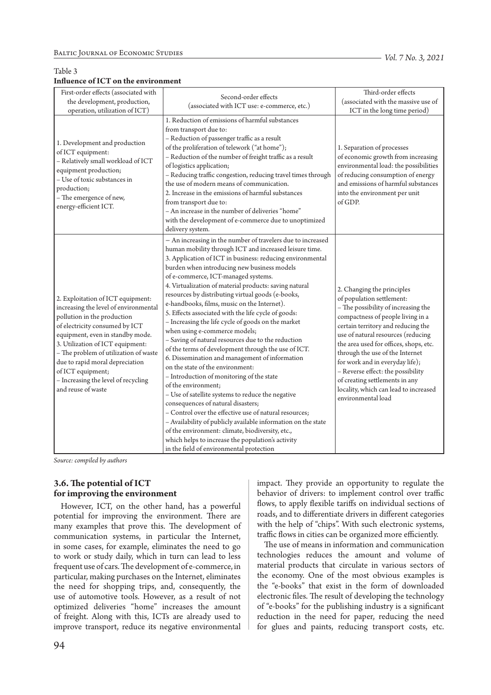# Table 3

## **Influence of ICT on the environment**

First-order effects (associated with the development, production, operation, utilization of ICT)

1. Development and production

– Relatively small workload of ICT

of ICT equipment:

production;

equipment production; – Use of toxic substances in

– The emergence of new, energy-efficient ICT.

| Second-order effects                                         | Third-order effects                   |
|--------------------------------------------------------------|---------------------------------------|
| (associated with ICT use: e-commerce, etc.)                  | (associated with the massive use of   |
|                                                              | ICT in the long time period)          |
| 1. Reduction of emissions of harmful substances              |                                       |
| from transport due to:                                       |                                       |
| - Reduction of passenger traffic as a result                 |                                       |
| of the proliferation of telework ("at home");                | 1. Separation of processes            |
| - Reduction of the number of freight traffic as a result     | of economic growth from increasing    |
| of logistics application;                                    | environmental load: the possibilities |
| - Reducing traffic congestion, reducing travel times through | of reducing consumption of energy     |
| the use of modern means of communication.                    | and emissions of harmful substances   |
| 2. Increase in the emissions of harmful substances           | into the environment per unit         |
| from transport due to:                                       | of GDP.                               |
| - An increase in the number of deliveries "home"             |                                       |
| with the development of e-commerce due to unoptimized        |                                       |
| delivery system.                                             |                                       |
| - An increasing in the number of travelers due to increased  |                                       |
| human mobility through ICT and increased leisure time.       |                                       |

|                                                                                                                                                                                                                                                                                                                                              | burden when introducing new business models                                                                                                                                                                                                                                                                                                                                                                                                                                                                                                                                                                                                                                                                                                                                                                                                 |                                                                                                                                                                                                                                                                                                                                                                                                            |
|----------------------------------------------------------------------------------------------------------------------------------------------------------------------------------------------------------------------------------------------------------------------------------------------------------------------------------------------|---------------------------------------------------------------------------------------------------------------------------------------------------------------------------------------------------------------------------------------------------------------------------------------------------------------------------------------------------------------------------------------------------------------------------------------------------------------------------------------------------------------------------------------------------------------------------------------------------------------------------------------------------------------------------------------------------------------------------------------------------------------------------------------------------------------------------------------------|------------------------------------------------------------------------------------------------------------------------------------------------------------------------------------------------------------------------------------------------------------------------------------------------------------------------------------------------------------------------------------------------------------|
| 2. Exploitation of ICT equipment:                                                                                                                                                                                                                                                                                                            | of e-commerce, ICT-managed systems.<br>4. Virtualization of material products: saving natural<br>resources by distributing virtual goods (e-books,                                                                                                                                                                                                                                                                                                                                                                                                                                                                                                                                                                                                                                                                                          | 2. Changing the principles<br>of population settlement:                                                                                                                                                                                                                                                                                                                                                    |
| increasing the level of environmental<br>pollution in the production<br>of electricity consumed by ICT<br>equipment, even in standby mode.<br>3. Utilization of ICT equipment:<br>- The problem of utilization of waste<br>due to rapid moral depreciation<br>of ICT equipment;<br>- Increasing the level of recycling<br>and reuse of waste | e-handbooks, films, music on the Internet).<br>5. Effects associated with the life cycle of goods:<br>- Increasing the life cycle of goods on the market<br>when using e-commerce models;<br>- Saving of natural resources due to the reduction<br>of the terms of development through the use of ICT.<br>6. Dissemination and management of information<br>on the state of the environment:<br>- Introduction of monitoring of the state<br>of the environment;<br>- Use of satellite systems to reduce the negative<br>consequences of natural disasters;<br>- Control over the effective use of natural resources;<br>- Availability of publicly available information on the state<br>of the environment: climate, biodiversity, etc.,<br>which helps to increase the population's activity<br>in the field of environmental protection | - The possibility of increasing the<br>compactness of people living in a<br>certain territory and reducing the<br>use of natural resources (reducing<br>the area used for offices, shops, etc.<br>through the use of the Internet<br>for work and in everyday life);<br>- Reverse effect: the possibility<br>of creating settlements in any<br>locality, which can lead to increased<br>environmental load |

3. Application of ICT in business: reducing environmental

*Source: compiled by authors*

# **3.6. The potential of ICT for improving the environment**

However, ICT, on the other hand, has a powerful potential for improving the environment. There are many examples that prove this. The development of communication systems, in particular the Internet, in some cases, for example, eliminates the need to go to work or study daily, which in turn can lead to less frequent use of cars. The development of e-commerce, in particular, making purchases on the Internet, eliminates the need for shopping trips, and, consequently, the use of automotive tools. However, as a result of not optimized deliveries "home" increases the amount of freight. Along with this, ICTs are already used to improve transport, reduce its negative environmental

94

impact. They provide an opportunity to regulate the behavior of drivers: to implement control over traffic flows, to apply flexible tariffs on individual sections of roads, and to differentiate drivers in different categories with the help of "chips". With such electronic systems, traffic flows in cities can be organized more efficiently.

The use of means in information and communication technologies reduces the amount and volume of material products that circulate in various sectors of the economy. One of the most obvious examples is the "e-books" that exist in the form of downloaded electronic files. The result of developing the technology of "e-books" for the publishing industry is a significant reduction in the need for paper, reducing the need for glues and paints, reducing transport costs, etc.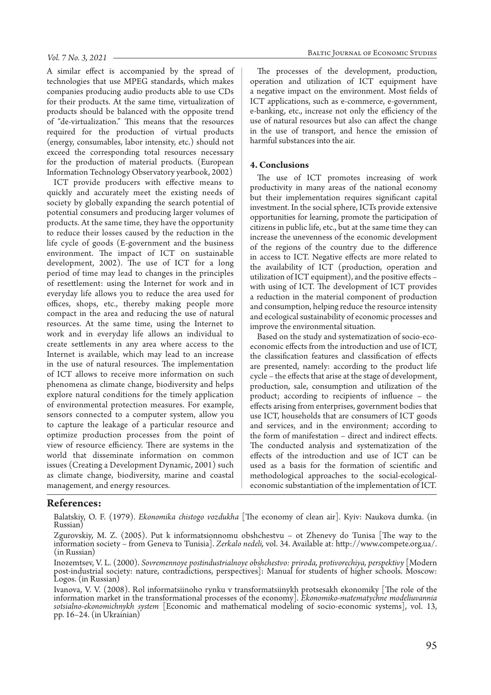A similar effect is accompanied by the spread of technologies that use MPEG standards, which makes companies producing audio products able to use CDs for their products. At the same time, virtualization of products should be balanced with the opposite trend of "de-virtualization." This means that the resources required for the production of virtual products (energy, consumables, labor intensity, etc.) should not exceed the corresponding total resources necessary for the production of material products. (European Information Technology Observatory yearbook, 2002)

ICT provide producers with effective means to quickly and accurately meet the existing needs of society by globally expanding the search potential of potential consumers and producing larger volumes of products. At the same time, they have the opportunity to reduce their losses caused by the reduction in the life cycle of goods (E-government and the business environment. The impact of ICT on sustainable development, 2002). The use of ICT for a long period of time may lead to changes in the principles of resettlement: using the Internet for work and in everyday life allows you to reduce the area used for offices, shops, etc., thereby making people more compact in the area and reducing the use of natural resources. At the same time, using the Internet to work and in everyday life allows an individual to create settlements in any area where access to the Internet is available, which may lead to an increase in the use of natural resources. The implementation of ICT allows to receive more information on such phenomena as climate change, biodiversity and helps explore natural conditions for the timely application of environmental protection measures. For example, sensors connected to a computer system, allow you to capture the leakage of a particular resource and optimize production processes from the point of view of resource efficiency. There are systems in the world that disseminate information on common issues (Creating a Development Dynamic, 2001) such as climate change, biodiversity, marine and coastal management, and energy resources.

The processes of the development, production, operation and utilization of ICT equipment have a negative impact on the environment. Most fields of ICT applications, such as e-commerce, e-government, e-banking, etc., increase not only the efficiency of the use of natural resources but also can affect the change in the use of transport, and hence the emission of harmful substances into the air.

### **4. Conclusions**

The use of ICT promotes increasing of work productivity in many areas of the national economy but their implementation requires significant capital investment. In the social sphere, ICTs provide extensive opportunities for learning, promote the participation of citizens in public life, etc., but at the same time they can increase the unevenness of the economic development of the regions of the country due to the difference in access to ICT. Negative effects are more related to the availability of ICT (production, operation and utilization of ICT equipment), and the positive effects – with using of ICT. The development of ICT provides a reduction in the material component of production and consumption, helping reduce the resource intensity and ecological sustainability of economic processes and improve the environmental situation.

Based on the study and systematization of socio-ecoeconomic effects from the introduction and use of ICT, the classification features and classification of effects are presented, namely: according to the product life cycle – the effects that arise at the stage of development, production, sale, consumption and utilization of the product; according to recipients of influence – the effects arising from enterprises, government bodies that use ICT, households that are consumers of ICT goods and services, and in the environment; according to the form of manifestation – direct and indirect effects. The conducted analysis and systematization of the effects of the introduction and use of ICT can be used as a basis for the formation of scientific and methodological approaches to the social-ecologicaleconomic substantiation of the implementation of ICT.

### **References:**

Balatskiy, O. F. (1979). *Ekonomika chistogo vozdukha* [The economy of clean air]. Kyiv: Naukova dumka. (in Russian)

Zgurovskiy, M. Z. (2005). Put k informatsionnomu obshchestvu – ot Zhenevy do Tunisa [The way to the information society – from Geneva to Tunisia]. *Zerkalo nedeli,* vol. 34. Available at: http://www.compete.org.ua/. (in Russian)

Inozemtsev, V. L. (2000). Sovremennoye postindustrialnoye obshchestvo: priroda, protivorechiya, perspektivy [Modern<br>post-industrial society: nature, contradictions, perspectives]: Manual for students of higher schools. Mos Logos. (in Russian)

Ivanova, V. V. (2008). Rol informatsiinoho rynku v transformatsiinykh protsesakh ekonomiky [The role of the information market in the transformational processes of the economy]. Ekonomiko-matematychne modeliuvannia sotsialno-ekonomichnykh system [Economic and mathematical modeling of socio-economic systems], vol. 13, pp. 16-24. (in Ukrainian)